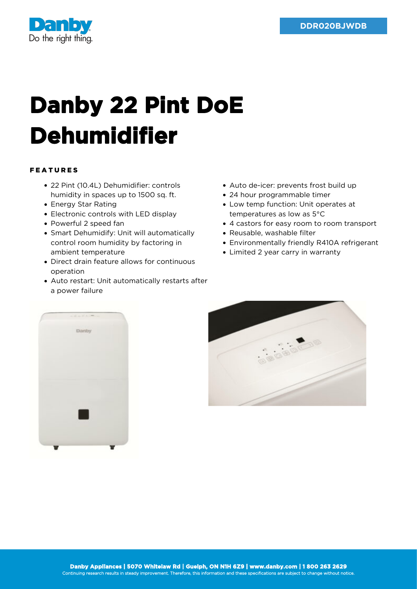

## **Danby 22 Pint DoE Dehumidifier**

## FEATURES

- 22 Pint (10.4L) Dehumidifier: controls humidity in spaces up to 1500 sq. ft.
- Energy Star Rating
- Electronic controls with LED display
- Powerful 2 speed fan
- Smart Dehumidify: Unit will automatically control room humidity by factoring in ambient temperature
- Direct drain feature allows for continuous operation
- Auto restart: Unit automatically restarts after a power failure
- Auto de-icer: prevents frost build up
- 24 hour programmable timer
- Low temp function: Unit operates at temperatures as low as 5°C
- 4 castors for easy room to room transport
- Reusable, washable filter
- Environmentally friendly R410A refrigerant
- Limited 2 year carry in warranty